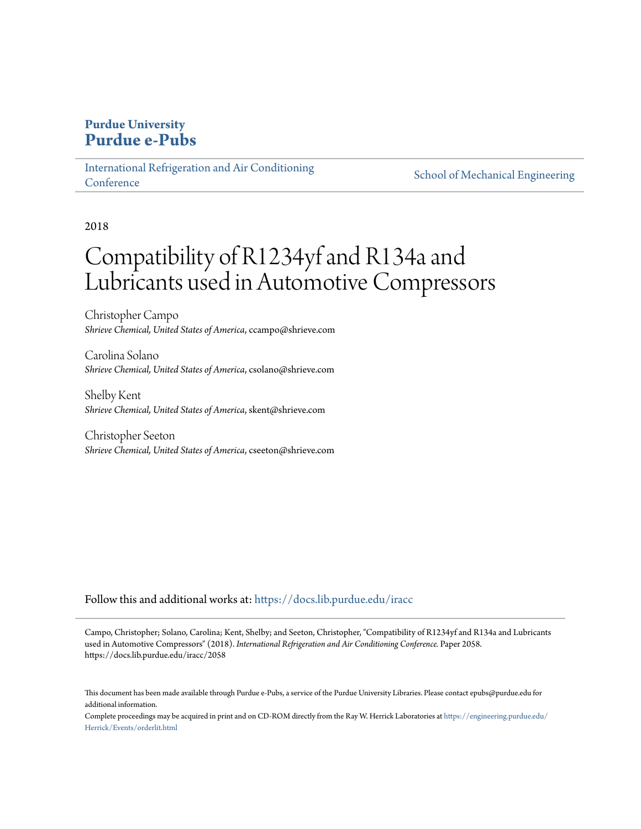# **Purdue University [Purdue e-Pubs](https://docs.lib.purdue.edu?utm_source=docs.lib.purdue.edu%2Firacc%2F2058&utm_medium=PDF&utm_campaign=PDFCoverPages)**

[International Refrigeration and Air Conditioning](https://docs.lib.purdue.edu/iracc?utm_source=docs.lib.purdue.edu%2Firacc%2F2058&utm_medium=PDF&utm_campaign=PDFCoverPages) **[Conference](https://docs.lib.purdue.edu/iracc?utm_source=docs.lib.purdue.edu%2Firacc%2F2058&utm_medium=PDF&utm_campaign=PDFCoverPages)** 

[School of Mechanical Engineering](https://docs.lib.purdue.edu/me?utm_source=docs.lib.purdue.edu%2Firacc%2F2058&utm_medium=PDF&utm_campaign=PDFCoverPages)

2018

# Compatibility of R1234yf and R134a and Lubricants used in Automotive Compressors

Christopher Campo *Shrieve Chemical, United States of America*, ccampo@shrieve.com

Carolina Solano *Shrieve Chemical, United States of America*, csolano@shrieve.com

Shelby Kent *Shrieve Chemical, United States of America*, skent@shrieve.com

Christopher Seeton *Shrieve Chemical, United States of America*, cseeton@shrieve.com

Follow this and additional works at: [https://docs.lib.purdue.edu/iracc](https://docs.lib.purdue.edu/iracc?utm_source=docs.lib.purdue.edu%2Firacc%2F2058&utm_medium=PDF&utm_campaign=PDFCoverPages)

Campo, Christopher; Solano, Carolina; Kent, Shelby; and Seeton, Christopher, "Compatibility of R1234yf and R134a and Lubricants used in Automotive Compressors" (2018). *International Refrigeration and Air Conditioning Conference.* Paper 2058. https://docs.lib.purdue.edu/iracc/2058

This document has been made available through Purdue e-Pubs, a service of the Purdue University Libraries. Please contact epubs@purdue.edu for additional information.

Complete proceedings may be acquired in print and on CD-ROM directly from the Ray W. Herrick Laboratories at [https://engineering.purdue.edu/](https://engineering.purdue.edu/Herrick/Events/orderlit.html) [Herrick/Events/orderlit.html](https://engineering.purdue.edu/Herrick/Events/orderlit.html)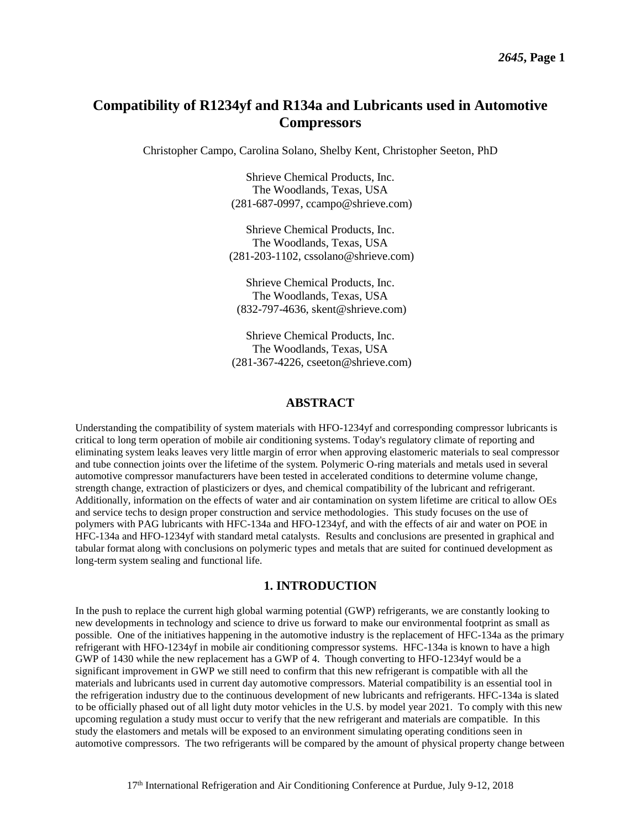# **Compatibility of R1234yf and R134a and Lubricants used in Automotive Compressors**

Christopher Campo, Carolina Solano, Shelby Kent, Christopher Seeton, PhD

Shrieve Chemical Products, Inc. The Woodlands, Texas, USA (281-687-0997, ccampo@shrieve.com)

Shrieve Chemical Products, Inc. The Woodlands, Texas, USA (281-203-1102, cssolano@shrieve.com)

Shrieve Chemical Products, Inc. The Woodlands, Texas, USA (832-797-4636, skent@shrieve.com)

Shrieve Chemical Products, Inc. The Woodlands, Texas, USA (281-367-4226, cseeton@shrieve.com)

# **ABSTRACT**

Understanding the compatibility of system materials with HFO-1234yf and corresponding compressor lubricants is critical to long term operation of mobile air conditioning systems. Today's regulatory climate of reporting and eliminating system leaks leaves very little margin of error when approving elastomeric materials to seal compressor and tube connection joints over the lifetime of the system. Polymeric O-ring materials and metals used in several automotive compressor manufacturers have been tested in accelerated conditions to determine volume change, strength change, extraction of plasticizers or dyes, and chemical compatibility of the lubricant and refrigerant. Additionally, information on the effects of water and air contamination on system lifetime are critical to allow OEs and service techs to design proper construction and service methodologies. This study focuses on the use of polymers with PAG lubricants with HFC-134a and HFO-1234yf, and with the effects of air and water on POE in HFC-134a and HFO-1234yf with standard metal catalysts. Results and conclusions are presented in graphical and tabular format along with conclusions on polymeric types and metals that are suited for continued development as long-term system sealing and functional life.

# **1. INTRODUCTION**

In the push to replace the current high global warming potential (GWP) refrigerants, we are constantly looking to new developments in technology and science to drive us forward to make our environmental footprint as small as possible. One of the initiatives happening in the automotive industry is the replacement of HFC-134a as the primary refrigerant with HFO-1234yf in mobile air conditioning compressor systems. HFC-134a is known to have a high GWP of 1430 while the new replacement has a GWP of 4. Though converting to HFO-1234yf would be a significant improvement in GWP we still need to confirm that this new refrigerant is compatible with all the materials and lubricants used in current day automotive compressors. Material compatibility is an essential tool in the refrigeration industry due to the continuous development of new lubricants and refrigerants. HFC-134a is slated to be officially phased out of all light duty motor vehicles in the U.S. by model year 2021. To comply with this new upcoming regulation a study must occur to verify that the new refrigerant and materials are compatible. In this study the elastomers and metals will be exposed to an environment simulating operating conditions seen in automotive compressors. The two refrigerants will be compared by the amount of physical property change between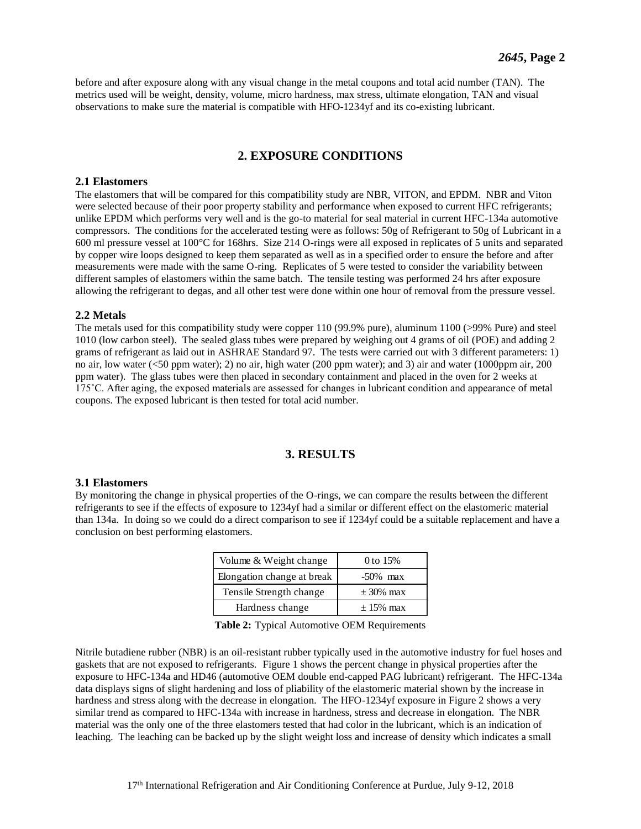before and after exposure along with any visual change in the metal coupons and total acid number (TAN). The metrics used will be weight, density, volume, micro hardness, max stress, ultimate elongation, TAN and visual observations to make sure the material is compatible with HFO-1234yf and its co-existing lubricant.

# **2. EXPOSURE CONDITIONS**

#### **2.1 Elastomers**

The elastomers that will be compared for this compatibility study are NBR, VITON, and EPDM. NBR and Viton were selected because of their poor property stability and performance when exposed to current HFC refrigerants; unlike EPDM which performs very well and is the go-to material for seal material in current HFC-134a automotive compressors. The conditions for the accelerated testing were as follows: 50g of Refrigerant to 50g of Lubricant in a 600 ml pressure vessel at 100°C for 168hrs. Size 214 O-rings were all exposed in replicates of 5 units and separated by copper wire loops designed to keep them separated as well as in a specified order to ensure the before and after measurements were made with the same O-ring. Replicates of 5 were tested to consider the variability between different samples of elastomers within the same batch. The tensile testing was performed 24 hrs after exposure allowing the refrigerant to degas, and all other test were done within one hour of removal from the pressure vessel.

#### **2.2 Metals**

The metals used for this compatibility study were copper 110 (99.9% pure), aluminum 1100 (>99% Pure) and steel 1010 (low carbon steel). The sealed glass tubes were prepared by weighing out 4 grams of oil (POE) and adding 2 grams of refrigerant as laid out in ASHRAE Standard 97. The tests were carried out with 3 different parameters: 1) no air, low water (<50 ppm water); 2) no air, high water (200 ppm water); and 3) air and water (1000ppm air, 200 ppm water). The glass tubes were then placed in secondary containment and placed in the oven for 2 weeks at 175˚C. After aging, the exposed materials are assessed for changes in lubricant condition and appearance of metal coupons. The exposed lubricant is then tested for total acid number.

# **3. RESULTS**

#### **3.1 Elastomers**

By monitoring the change in physical properties of the O-rings, we can compare the results between the different refrigerants to see if the effects of exposure to 1234yf had a similar or different effect on the elastomeric material than 134a. In doing so we could do a direct comparison to see if 1234yf could be a suitable replacement and have a conclusion on best performing elastomers.

| Volume & Weight change     | 0 to $15%$    |
|----------------------------|---------------|
| Elongation change at break | $-50\%$ max   |
| Tensile Strength change    | $\pm$ 30% max |
| Hardness change            | $+15%$ max    |

|  |  | Table 2: Typical Automotive OEM Requirements |  |  |  |
|--|--|----------------------------------------------|--|--|--|
|--|--|----------------------------------------------|--|--|--|

Nitrile butadiene rubber (NBR) is an oil-resistant rubber typically used in the automotive industry for fuel hoses and gaskets that are not exposed to refrigerants. Figure 1 shows the percent change in physical properties after the exposure to HFC-134a and HD46 (automotive OEM double end-capped PAG lubricant) refrigerant. The HFC-134a data displays signs of slight hardening and loss of pliability of the elastomeric material shown by the increase in hardness and stress along with the decrease in elongation. The HFO-1234yf exposure in Figure 2 shows a very similar trend as compared to HFC-134a with increase in hardness, stress and decrease in elongation. The NBR material was the only one of the three elastomers tested that had color in the lubricant, which is an indication of leaching. The leaching can be backed up by the slight weight loss and increase of density which indicates a small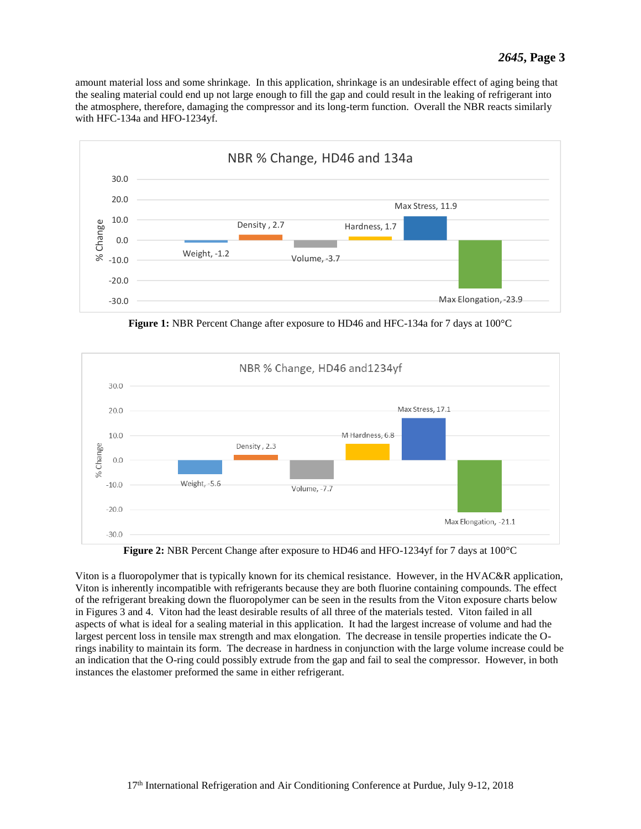amount material loss and some shrinkage. In this application, shrinkage is an undesirable effect of aging being that the sealing material could end up not large enough to fill the gap and could result in the leaking of refrigerant into the atmosphere, therefore, damaging the compressor and its long-term function. Overall the NBR reacts similarly with HFC-134a and HFO-1234yf.



**Figure 1:** NBR Percent Change after exposure to HD46 and HFC-134a for 7 days at 100°C



**Figure 2:** NBR Percent Change after exposure to HD46 and HFO-1234yf for 7 days at 100°C

Viton is a fluoropolymer that is typically known for its chemical resistance. However, in the HVAC&R application, Viton is inherently incompatible with refrigerants because they are both fluorine containing compounds. The effect of the refrigerant breaking down the fluoropolymer can be seen in the results from the Viton exposure charts below in Figures 3 and 4. Viton had the least desirable results of all three of the materials tested. Viton failed in all aspects of what is ideal for a sealing material in this application. It had the largest increase of volume and had the largest percent loss in tensile max strength and max elongation. The decrease in tensile properties indicate the Orings inability to maintain its form. The decrease in hardness in conjunction with the large volume increase could be an indication that the O-ring could possibly extrude from the gap and fail to seal the compressor. However, in both instances the elastomer preformed the same in either refrigerant.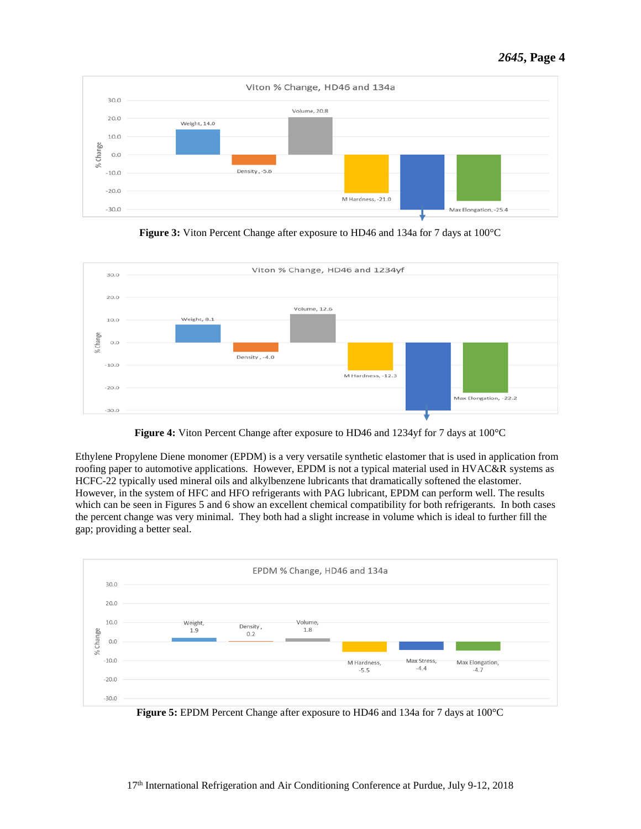

**Figure 3:** Viton Percent Change after exposure to HD46 and 134a for 7 days at 100°C



**Figure 4:** Viton Percent Change after exposure to HD46 and 1234yf for 7 days at 100°C

Ethylene Propylene Diene monomer (EPDM) is a very versatile synthetic elastomer that is used in application from roofing paper to automotive applications. However, EPDM is not a typical material used in HVAC&R systems as HCFC-22 typically used mineral oils and alkylbenzene lubricants that dramatically softened the elastomer. However, in the system of HFC and HFO refrigerants with PAG lubricant, EPDM can perform well. The results which can be seen in Figures 5 and 6 show an excellent chemical compatibility for both refrigerants. In both cases the percent change was very minimal. They both had a slight increase in volume which is ideal to further fill the gap; providing a better seal.



**Figure 5:** EPDM Percent Change after exposure to HD46 and 134a for 7 days at 100°C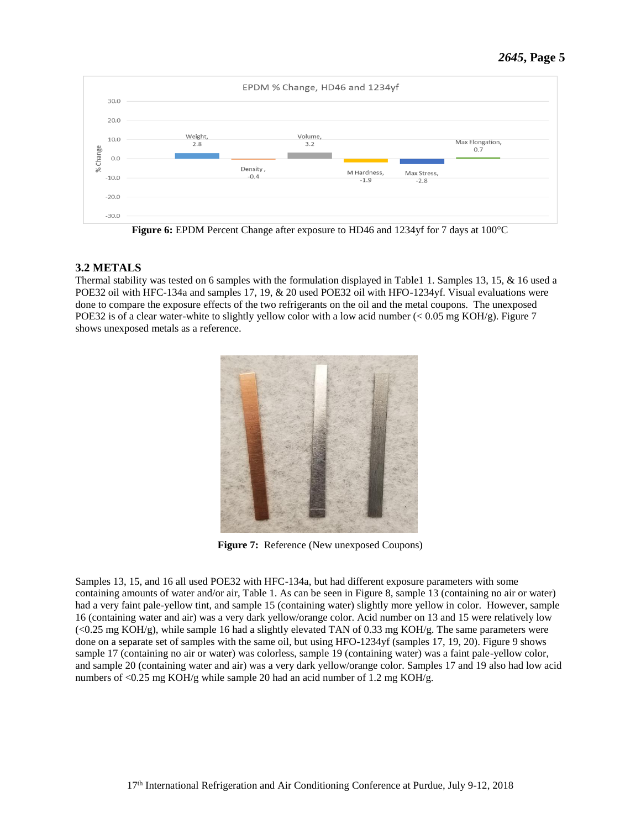

**Figure 6:** EPDM Percent Change after exposure to HD46 and 1234yf for 7 days at 100°C

# **3.2 METALS**

Thermal stability was tested on 6 samples with the formulation displayed in Table1 1. Samples 13, 15, & 16 used a POE32 oil with HFC-134a and samples 17, 19, & 20 used POE32 oil with HFO-1234yf. Visual evaluations were done to compare the exposure effects of the two refrigerants on the oil and the metal coupons. The unexposed POE32 is of a clear water-white to slightly yellow color with a low acid number ( $< 0.05$  mg KOH/g). Figure 7 shows unexposed metals as a reference.



**Figure 7:** Reference (New unexposed Coupons)

Samples 13, 15, and 16 all used POE32 with HFC-134a, but had different exposure parameters with some containing amounts of water and/or air, Table 1. As can be seen in Figure 8, sample 13 (containing no air or water) had a very faint pale-yellow tint, and sample 15 (containing water) slightly more yellow in color. However, sample 16 (containing water and air) was a very dark yellow/orange color. Acid number on 13 and 15 were relatively low  $\langle$  <0.25 mg KOH/g), while sample 16 had a slightly elevated TAN of 0.33 mg KOH/g. The same parameters were done on a separate set of samples with the same oil, but using HFO-1234yf (samples 17, 19, 20). Figure 9 shows sample 17 (containing no air or water) was colorless, sample 19 (containing water) was a faint pale-yellow color, and sample 20 (containing water and air) was a very dark yellow/orange color. Samples 17 and 19 also had low acid numbers of <0.25 mg KOH/g while sample 20 had an acid number of 1.2 mg KOH/g.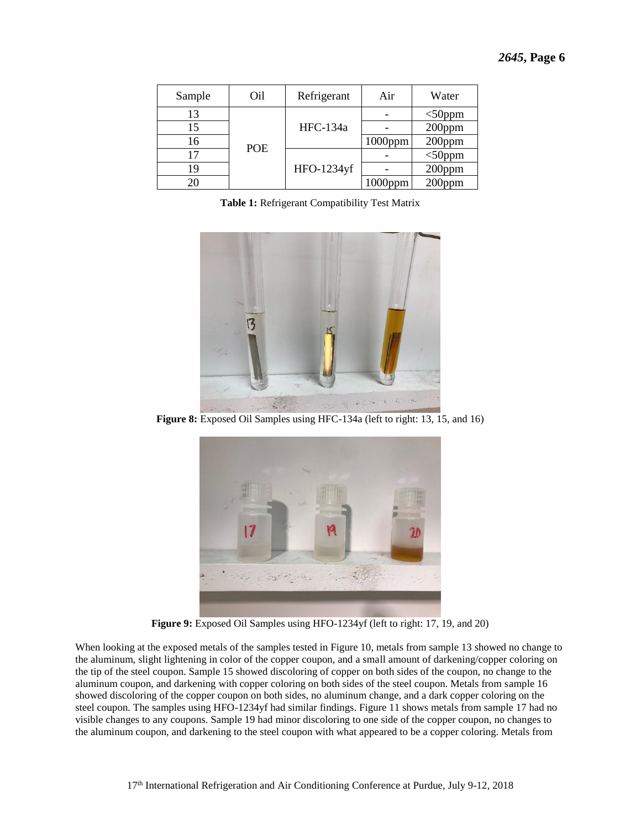| Sample | Oil        | Refrigerant | Air        | Water     |
|--------|------------|-------------|------------|-----------|
| 13     |            |             |            | $<$ 50ppm |
| 15     |            | HFC-134a    |            | 200ppm    |
| 16     | <b>POE</b> |             | $1000$ ppm | 200ppm    |
| 17     |            |             |            | $<$ 50ppm |
| 19     |            | HFO-1234yf  |            | 200ppm    |
| 20     |            |             | 1000ppm    | 200ppm    |

**Table 1:** Refrigerant Compatibility Test Matrix



**Figure 8:** Exposed Oil Samples using HFC-134a (left to right: 13, 15, and 16)



**Figure 9:** Exposed Oil Samples using HFO-1234yf (left to right: 17, 19, and 20)

When looking at the exposed metals of the samples tested in Figure 10, metals from sample 13 showed no change to the aluminum, slight lightening in color of the copper coupon, and a small amount of darkening/copper coloring on the tip of the steel coupon. Sample 15 showed discoloring of copper on both sides of the coupon, no change to the aluminum coupon, and darkening with copper coloring on both sides of the steel coupon. Metals from sample 16 showed discoloring of the copper coupon on both sides, no aluminum change, and a dark copper coloring on the steel coupon. The samples using HFO-1234yf had similar findings. Figure 11 shows metals from sample 17 had no visible changes to any coupons. Sample 19 had minor discoloring to one side of the copper coupon, no changes to the aluminum coupon, and darkening to the steel coupon with what appeared to be a copper coloring. Metals from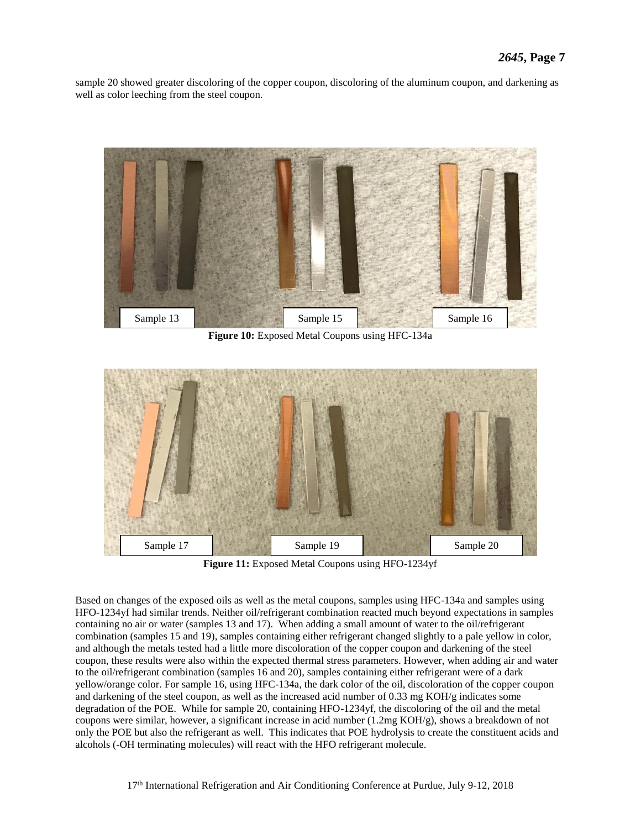sample 20 showed greater discoloring of the copper coupon, discoloring of the aluminum coupon, and darkening as well as color leeching from the steel coupon.



**Figure 10:** Exposed Metal Coupons using HFC-134a



**Figure 11:** Exposed Metal Coupons using HFO-1234yf

Based on changes of the exposed oils as well as the metal coupons, samples using HFC-134a and samples using HFO-1234yf had similar trends. Neither oil/refrigerant combination reacted much beyond expectations in samples containing no air or water (samples 13 and 17). When adding a small amount of water to the oil/refrigerant combination (samples 15 and 19), samples containing either refrigerant changed slightly to a pale yellow in color, and although the metals tested had a little more discoloration of the copper coupon and darkening of the steel coupon, these results were also within the expected thermal stress parameters. However, when adding air and water to the oil/refrigerant combination (samples 16 and 20), samples containing either refrigerant were of a dark yellow/orange color. For sample 16, using HFC-134a, the dark color of the oil, discoloration of the copper coupon and darkening of the steel coupon, as well as the increased acid number of 0.33 mg KOH/g indicates some degradation of the POE. While for sample 20, containing HFO-1234yf, the discoloring of the oil and the metal coupons were similar, however, a significant increase in acid number (1.2mg KOH/g), shows a breakdown of not only the POE but also the refrigerant as well. This indicates that POE hydrolysis to create the constituent acids and alcohols (-OH terminating molecules) will react with the HFO refrigerant molecule.